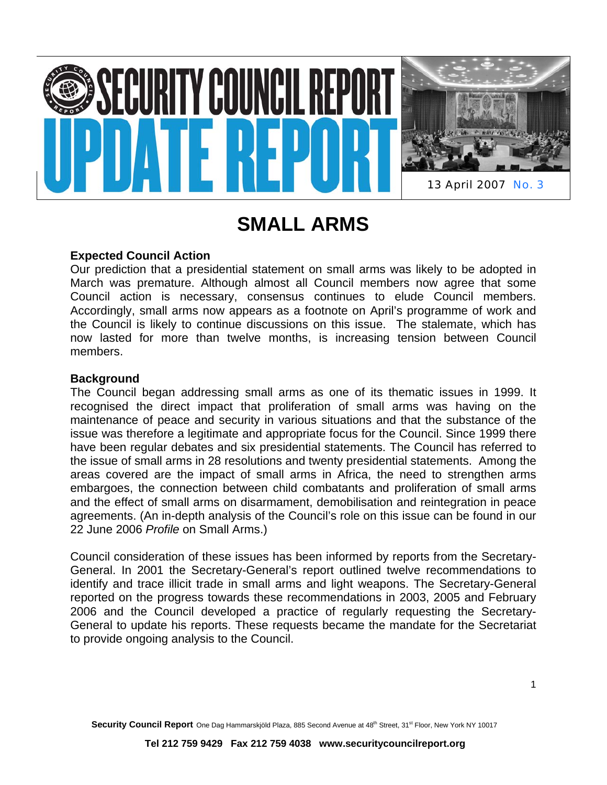



13 April 2007 No. 3

# **SMALL ARMS**

## **Expected Council Action**

Our prediction that a presidential statement on small arms was likely to be adopted in March was premature. Although almost all Council members now agree that some Council action is necessary, consensus continues to elude Council members. Accordingly, small arms now appears as a footnote on April's programme of work and the Council is likely to continue discussions on this issue. The stalemate, which has now lasted for more than twelve months, is increasing tension between Council members.

## **Background**

The Council began addressing small arms as one of its thematic issues in 1999. It recognised the direct impact that proliferation of small arms was having on the maintenance of peace and security in various situations and that the substance of the issue was therefore a legitimate and appropriate focus for the Council. Since 1999 there have been regular debates and six presidential statements. The Council has referred to the issue of small arms in 28 resolutions and twenty presidential statements. Among the areas covered are the impact of small arms in Africa, the need to strengthen arms embargoes, the connection between child combatants and proliferation of small arms and the effect of small arms on disarmament, demobilisation and reintegration in peace agreements. (An in-depth analysis of the Council's role on this issue can be found in our 22 June 2006 *Profile* on Small Arms.)

Council consideration of these issues has been informed by reports from the Secretary-General. In 2001 the Secretary-General's report outlined twelve recommendations to identify and trace illicit trade in small arms and light weapons. The Secretary-General reported on the progress towards these recommendations in 2003, 2005 and February 2006 and the Council developed a practice of regularly requesting the Secretary-General to update his reports. These requests became the mandate for the Secretariat to provide ongoing analysis to the Council.

Security Council Report One Dag Hammarskjöld Plaza, 885 Second Avenue at 48<sup>th</sup> Street, 31<sup>st</sup> Floor, New York NY 10017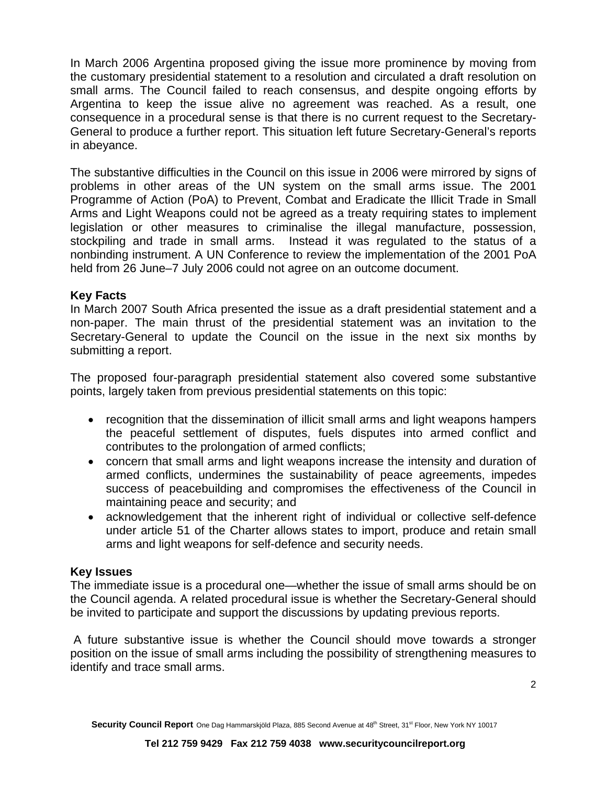In March 2006 Argentina proposed giving the issue more prominence by moving from the customary presidential statement to a resolution and circulated a draft resolution on small arms. The Council failed to reach consensus, and despite ongoing efforts by Argentina to keep the issue alive no agreement was reached. As a result, one consequence in a procedural sense is that there is no current request to the Secretary-General to produce a further report. This situation left future Secretary-General's reports in abeyance.

The substantive difficulties in the Council on this issue in 2006 were mirrored by signs of problems in other areas of the UN system on the small arms issue. The 2001 Programme of Action (PoA) to Prevent, Combat and Eradicate the Illicit Trade in Small Arms and Light Weapons could not be agreed as a treaty requiring states to implement legislation or other measures to criminalise the illegal manufacture, possession, stockpiling and trade in small arms. Instead it was regulated to the status of a nonbinding instrument. A UN Conference to review the implementation of the 2001 PoA held from 26 June–7 July 2006 could not agree on an outcome document.

## **Key Facts**

In March 2007 South Africa presented the issue as a draft presidential statement and a non-paper. The main thrust of the presidential statement was an invitation to the Secretary-General to update the Council on the issue in the next six months by submitting a report.

The proposed four-paragraph presidential statement also covered some substantive points, largely taken from previous presidential statements on this topic:

- recognition that the dissemination of illicit small arms and light weapons hampers the peaceful settlement of disputes, fuels disputes into armed conflict and contributes to the prolongation of armed conflicts;
- concern that small arms and light weapons increase the intensity and duration of armed conflicts, undermines the sustainability of peace agreements, impedes success of peacebuilding and compromises the effectiveness of the Council in maintaining peace and security; and
- acknowledgement that the inherent right of individual or collective self-defence under article 51 of the Charter allows states to import, produce and retain small arms and light weapons for self-defence and security needs.

## **Key Issues**

The immediate issue is a procedural one—whether the issue of small arms should be on the Council agenda. A related procedural issue is whether the Secretary-General should be invited to participate and support the discussions by updating previous reports.

 A future substantive issue is whether the Council should move towards a stronger position on the issue of small arms including the possibility of strengthening measures to identify and trace small arms.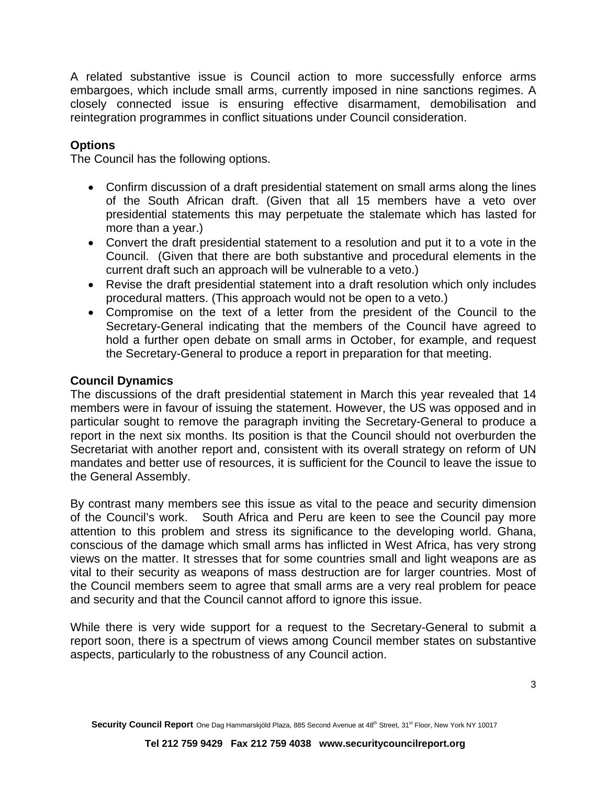A related substantive issue is Council action to more successfully enforce arms embargoes, which include small arms, currently imposed in nine sanctions regimes. A closely connected issue is ensuring effective disarmament, demobilisation and reintegration programmes in conflict situations under Council consideration.

# **Options**

The Council has the following options.

- Confirm discussion of a draft presidential statement on small arms along the lines of the South African draft. (Given that all 15 members have a veto over presidential statements this may perpetuate the stalemate which has lasted for more than a year.)
- Convert the draft presidential statement to a resolution and put it to a vote in the Council. (Given that there are both substantive and procedural elements in the current draft such an approach will be vulnerable to a veto.)
- Revise the draft presidential statement into a draft resolution which only includes procedural matters. (This approach would not be open to a veto.)
- Compromise on the text of a letter from the president of the Council to the Secretary-General indicating that the members of the Council have agreed to hold a further open debate on small arms in October, for example, and request the Secretary-General to produce a report in preparation for that meeting.

### **Council Dynamics**

The discussions of the draft presidential statement in March this year revealed that 14 members were in favour of issuing the statement. However, the US was opposed and in particular sought to remove the paragraph inviting the Secretary-General to produce a report in the next six months. Its position is that the Council should not overburden the Secretariat with another report and, consistent with its overall strategy on reform of UN mandates and better use of resources, it is sufficient for the Council to leave the issue to the General Assembly.

By contrast many members see this issue as vital to the peace and security dimension of the Council's work. South Africa and Peru are keen to see the Council pay more attention to this problem and stress its significance to the developing world. Ghana, conscious of the damage which small arms has inflicted in West Africa, has very strong views on the matter. It stresses that for some countries small and light weapons are as vital to their security as weapons of mass destruction are for larger countries. Most of the Council members seem to agree that small arms are a very real problem for peace and security and that the Council cannot afford to ignore this issue.

While there is very wide support for a request to the Secretary-General to submit a report soon, there is a spectrum of views among Council member states on substantive aspects, particularly to the robustness of any Council action.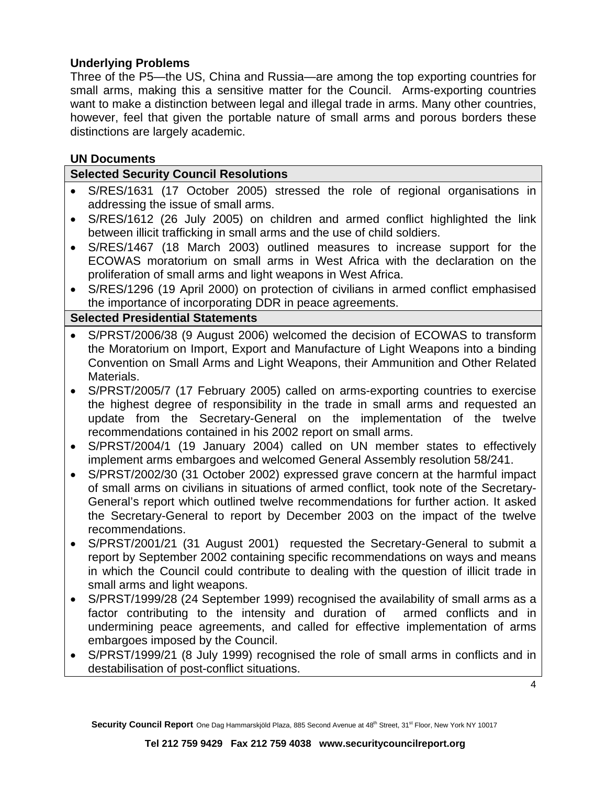# **Underlying Problems**

Three of the P5—the US, China and Russia—are among the top exporting countries for small arms, making this a sensitive matter for the Council. Arms-exporting countries want to make a distinction between legal and illegal trade in arms. Many other countries, however, feel that given the portable nature of small arms and porous borders these distinctions are largely academic.

## **UN Documents**

## **Selected Security Council Resolutions**

- S/RES/1631 (17 October 2005) stressed the role of regional organisations in addressing the issue of small arms.
- S/RES/1612 (26 July 2005) on children and armed conflict highlighted the link between illicit trafficking in small arms and the use of child soldiers.
- S/RES/1467 (18 March 2003) outlined measures to increase support for the ECOWAS moratorium on small arms in West Africa with the declaration on the proliferation of small arms and light weapons in West Africa.
- S/RES/1296 (19 April 2000) on protection of civilians in armed conflict emphasised the importance of incorporating DDR in peace agreements.

## **Selected Presidential Statements**

- S/PRST/2006/38 (9 August 2006) welcomed the decision of ECOWAS to transform the Moratorium on Import, Export and Manufacture of Light Weapons into a binding Convention on Small Arms and Light Weapons, their Ammunition and Other Related Materials.
- S/PRST/2005/7 (17 February 2005) called on arms-exporting countries to exercise the highest degree of responsibility in the trade in small arms and requested an update from the Secretary-General on the implementation of the twelve recommendations contained in his 2002 report on small arms.
- S/PRST/2004/1 (19 January 2004) called on UN member states to effectively implement arms embargoes and welcomed General Assembly resolution 58/241.
- S/PRST/2002/30 (31 October 2002) expressed grave concern at the harmful impact of small arms on civilians in situations of armed conflict, took note of the Secretary-General's report which outlined twelve recommendations for further action. It asked the Secretary-General to report by December 2003 on the impact of the twelve recommendations.
- S/PRST/2001/21 (31 August 2001) requested the Secretary-General to submit a report by September 2002 containing specific recommendations on ways and means in which the Council could contribute to dealing with the question of illicit trade in small arms and light weapons.
- S/PRST/1999/28 (24 September 1999) recognised the availability of small arms as a factor contributing to the intensity and duration of armed conflicts and in undermining peace agreements, and called for effective implementation of arms embargoes imposed by the Council.
- S/PRST/1999/21 (8 July 1999) recognised the role of small arms in conflicts and in destabilisation of post-conflict situations.

4

Security Council Report One Dag Hammarskjöld Plaza, 885 Second Avenue at 48<sup>th</sup> Street, 31<sup>st</sup> Floor, New York NY 10017